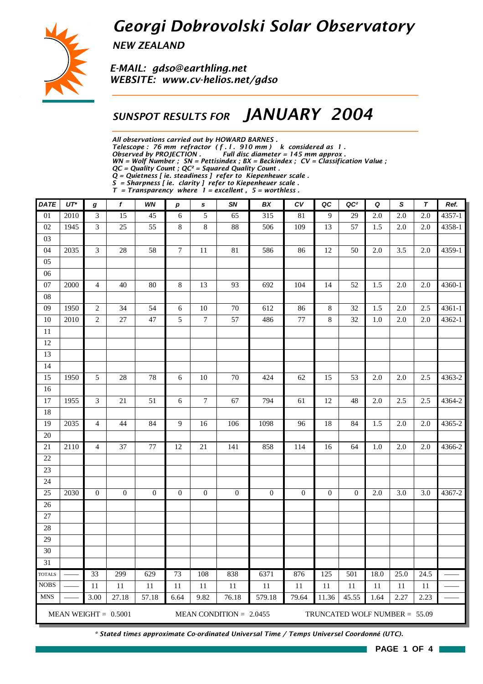# *Georgi Dobrovolski Solar Observatory*



*NEW ZEALAND*

*E-MAIL: gdso@earthling.net WEBSITE: www.cv-helios.net/gdso*

### *SUNSPOT RESULTS FOR JANUARY 2004*

*All observations carried out by HOWARD BARNES .*

*Telescope : 76 mm refractor ( f . l . 910 mm ) k considered as 1 .*

*Observed by PROJECTION . Full disc diameter = 145 mm approx .*

*WN = Wolf Number ; SN = Pettisindex ; BX = Beckindex ; CV = Classification Value ; QC = Quality Count ; QC² = Squared Quality Count .*

*Q = Quietness [ ie. steadiness ] refer to Kiepenheuer scale .*

*S = Sharpness [ ie. clarity ] refer to Kiepenheuer scale .*

*T = Transparency where 1 = excellent , 5 = worthless .*

| <b>DATE</b>   | $UT^*$ | g                | f                      | WN               | $\boldsymbol{p}$ | s                | SN                        | BX               | CV               | QC               | QC <sup>2</sup>                 | Q    | S    | $\boldsymbol{\tau}$ | Ref.       |
|---------------|--------|------------------|------------------------|------------------|------------------|------------------|---------------------------|------------------|------------------|------------------|---------------------------------|------|------|---------------------|------------|
| 01            | 2010   | $\overline{3}$   | 15                     | 45               | 6                | 5                | $\overline{65}$           | 315              | 81               | $\overline{9}$   | 29                              | 2.0  | 2.0  | 2.0                 | $4357 - 1$ |
| 02            | 1945   | $\mathfrak{Z}$   | 25                     | 55               | 8                | 8                | 88                        | 506              | 109              | 13               | 57                              | 1.5  | 2.0  | $2.0\,$             | 4358-1     |
| 03            |        |                  |                        |                  |                  |                  |                           |                  |                  |                  |                                 |      |      |                     |            |
| 04            | 2035   | 3                | 28                     | 58               | $\boldsymbol{7}$ | 11               | 81                        | 586              | 86               | 12               | 50                              | 2.0  | 3.5  | 2.0                 | 4359-1     |
| 05            |        |                  |                        |                  |                  |                  |                           |                  |                  |                  |                                 |      |      |                     |            |
| 06            |        |                  |                        |                  |                  |                  |                           |                  |                  |                  |                                 |      |      |                     |            |
| 07            | 2000   | 4                | 40                     | 80               | 8                | 13               | 93                        | 692              | 104              | 14               | 52                              | 1.5  | 2.0  | 2.0                 | 4360-1     |
| 08            |        |                  |                        |                  |                  |                  |                           |                  |                  |                  |                                 |      |      |                     |            |
| 09            | 1950   | $\sqrt{2}$       | 34                     | 54               | 6                | 10               | 70                        | 612              | 86               | 8                | 32                              | 1.5  | 2.0  | 2.5                 | 4361-1     |
| 10            | 2010   | $\overline{c}$   | 27                     | 47               | 5                | $\boldsymbol{7}$ | 57                        | 486              | 77               | 8                | 32                              | 1.0  | 2.0  | 2.0                 | 4362-1     |
| 11            |        |                  |                        |                  |                  |                  |                           |                  |                  |                  |                                 |      |      |                     |            |
| 12            |        |                  |                        |                  |                  |                  |                           |                  |                  |                  |                                 |      |      |                     |            |
| 13            |        |                  |                        |                  |                  |                  |                           |                  |                  |                  |                                 |      |      |                     |            |
| 14            |        |                  |                        |                  |                  |                  |                           |                  |                  |                  |                                 |      |      |                     |            |
| 15            | 1950   | 5                | 28                     | 78               | $6\phantom{a}$   | 10               | 70                        | 424              | 62               | 15               | 53                              | 2.0  | 2.0  | 2.5                 | 4363-2     |
| 16            |        |                  |                        |                  |                  |                  |                           |                  |                  |                  |                                 |      |      |                     |            |
| 17            | 1955   | 3                | 21                     | 51               | $\sqrt{6}$       | $\boldsymbol{7}$ | 67                        | 794              | 61               | 12               | 48                              | 2.0  | 2.5  | 2.5                 | 4364-2     |
| 18            |        |                  |                        |                  |                  |                  |                           |                  |                  |                  |                                 |      |      |                     |            |
| 19            | 2035   | $\overline{4}$   | 44                     | 84               | 9                | 16               | 106                       | 1098             | 96               | 18               | 84                              | 1.5  | 2.0  | 2.0                 | 4365-2     |
| 20            |        |                  |                        |                  |                  |                  |                           |                  |                  |                  |                                 |      |      |                     |            |
| 21            | 2110   | 4                | 37                     | 77               | 12               | 21               | 141                       | 858              | 114              | 16               | 64                              | 1.0  | 2.0  | 2.0                 | 4366-2     |
| 22            |        |                  |                        |                  |                  |                  |                           |                  |                  |                  |                                 |      |      |                     |            |
| 23            |        |                  |                        |                  |                  |                  |                           |                  |                  |                  |                                 |      |      |                     |            |
| 24            |        |                  |                        |                  |                  |                  |                           |                  |                  |                  |                                 |      |      |                     |            |
| 25            | 2030   | $\boldsymbol{0}$ | $\boldsymbol{0}$       | $\boldsymbol{0}$ | $\boldsymbol{0}$ | $\boldsymbol{0}$ | $\boldsymbol{0}$          | $\boldsymbol{0}$ | $\boldsymbol{0}$ | $\boldsymbol{0}$ | $\boldsymbol{0}$                | 2.0  | 3.0  | 3.0                 | 4367-2     |
| 26            |        |                  |                        |                  |                  |                  |                           |                  |                  |                  |                                 |      |      |                     |            |
| 27            |        |                  |                        |                  |                  |                  |                           |                  |                  |                  |                                 |      |      |                     |            |
| 28            |        |                  |                        |                  |                  |                  |                           |                  |                  |                  |                                 |      |      |                     |            |
| 29            |        |                  |                        |                  |                  |                  |                           |                  |                  |                  |                                 |      |      |                     |            |
| 30            |        |                  |                        |                  |                  |                  |                           |                  |                  |                  |                                 |      |      |                     |            |
| 31            |        |                  |                        |                  |                  |                  |                           |                  |                  |                  |                                 |      |      |                     |            |
| <b>TOTALS</b> |        | 33               | 299                    | 629              | 73               | 108              | 838                       | 6371             | 876              | 125              | $\overline{501}$                | 18.0 | 25.0 | 24.5                |            |
| <b>NOBS</b>   |        | 11               | 11                     | 11               | 11               | 11               | $11\,$                    | 11               | 11               | 11               | 11                              | 11   | 11   | $11\,$              |            |
| <b>MNS</b>    |        | 3.00             | 27.18                  | 57.18            | 6.64             | 9.82             | 76.18                     | 579.18           | 79.64            | 11.36            | 45.55                           | 1.64 | 2.27 | 2.23                |            |
|               |        |                  | MEAN WEIGHT = $0.5001$ |                  |                  |                  | MEAN CONDITION = $2.0455$ |                  |                  |                  | TRUNCATED WOLF NUMBER = $55.09$ |      |      |                     |            |

*\* Stated times approximate Co-ordinated Universal Time / Temps Universel Coordonné (UTC).*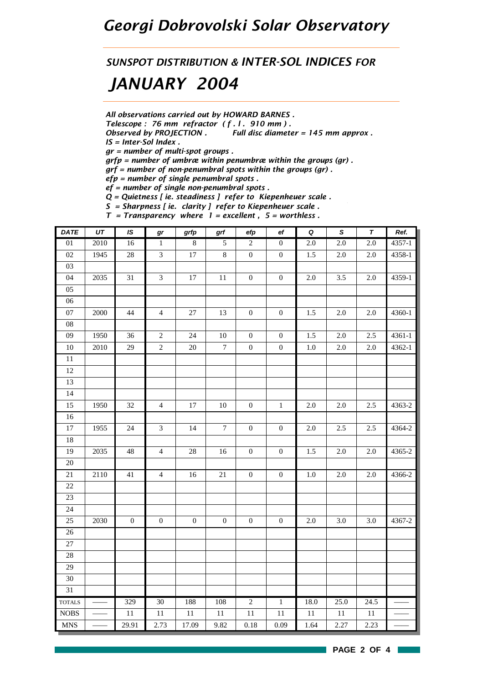## *Georgi Dobrovolski Solar Observatory*

*SUNSPOT DISTRIBUTION & INTER-SOL INDICES FOR*

# *JANUARY 2004*

*All observations carried out by HOWARD BARNES .*

*Telescope : 76 mm refractor ( f . l . 910 mm ) .*

*Observed by PROJECTION . Full disc diameter = 145 mm approx .*

*IS = Inter-Sol Index .*

*gr = number of multi-spot groups .*

*grfp = number of umbræ within penumbræ within the groups (gr) .*

*grf = number of non-penumbral spots within the groups (gr) .*

*efp = number of single penumbral spots .*

*ef = number of single non-penumbral spots .*

*Q = Quietness [ ie. steadiness ] refer to Kiepenheuer scale .*

*S = Sharpness [ ie. clarity ] refer to Kiepenheuer scale . T = Transparency where 1 = excellent , 5 = worthless .*

| <b>DATE</b>                      | $\overline{UT}$ | IS               | gr               | grfp             | grf            | efp              | $_{\rm ef}$      | $\pmb Q$ | S       | $\overline{\tau}$ | Ref.   |
|----------------------------------|-----------------|------------------|------------------|------------------|----------------|------------------|------------------|----------|---------|-------------------|--------|
| $\overline{01}$                  | 2010            | $16\,$           | $\,1$            | $\,8\,$          | 5              | $\overline{c}$   | $\boldsymbol{0}$ | $2.0\,$  | 2.0     | $2.0\,$           | 4357-1 |
| $02\,$                           | 1945            | $28\,$           | $\overline{3}$   | $17\,$           | 8              | $\boldsymbol{0}$ | $\boldsymbol{0}$ | 1.5      | $2.0\,$ | 2.0               | 4358-1 |
| 03                               |                 |                  |                  |                  |                |                  |                  |          |         |                   |        |
| 04                               | 2035            | 31               | $\mathfrak{Z}$   | $17\,$           | $11\,$         | $\boldsymbol{0}$ | $\boldsymbol{0}$ | $2.0\,$  | 3.5     | 2.0               | 4359-1 |
| 05                               |                 |                  |                  |                  |                |                  |                  |          |         |                   |        |
| 06                               |                 |                  |                  |                  |                |                  |                  |          |         |                   |        |
| $07\,$                           | 2000            | 44               | $\overline{4}$   | $27\,$           | 13             | $\boldsymbol{0}$ | $\boldsymbol{0}$ | 1.5      | $2.0\,$ | $2.0\,$           | 4360-1 |
| ${\bf 08}$                       |                 |                  |                  |                  |                |                  |                  |          |         |                   |        |
| 09                               | 1950            | 36               | $\overline{2}$   | 24               | $10\,$         | $\boldsymbol{0}$ | $\boldsymbol{0}$ | 1.5      | 2.0     | 2.5               | 4361-1 |
| $10\,$                           | 2010            | 29               | $\overline{2}$   | $20\,$           | $\overline{7}$ | $\boldsymbol{0}$ | $\boldsymbol{0}$ | $1.0\,$  | 2.0     | $2.0\,$           | 4362-1 |
| $11\,$                           |                 |                  |                  |                  |                |                  |                  |          |         |                   |        |
| $12\,$                           |                 |                  |                  |                  |                |                  |                  |          |         |                   |        |
| 13                               |                 |                  |                  |                  |                |                  |                  |          |         |                   |        |
| 14                               |                 |                  |                  |                  |                |                  |                  |          |         |                   |        |
| 15                               | 1950            | 32               | $\overline{4}$   | 17               | $10\,$         | $\boldsymbol{0}$ | $1\,$            | $2.0\,$  | $2.0\,$ | 2.5               | 4363-2 |
| $16\,$                           |                 |                  |                  |                  |                |                  |                  |          |         |                   |        |
| $17\,$                           | 1955            | 24               | $\overline{3}$   | 14               | $\overline{7}$ | $\boldsymbol{0}$ | $\boldsymbol{0}$ | $2.0\,$  | 2.5     | 2.5               | 4364-2 |
| $18\,$                           |                 |                  |                  |                  |                |                  |                  |          |         |                   |        |
| 19                               | 2035            | 48               | $\overline{4}$   | $28\,$           | 16             | $\boldsymbol{0}$ | $\boldsymbol{0}$ | 1.5      | $2.0\,$ | $2.0\,$           | 4365-2 |
| $20\,$                           |                 |                  |                  |                  |                |                  |                  |          |         |                   |        |
| $21\,$                           | 2110            | 41               | $\overline{4}$   | 16               | $21\,$         | $\boldsymbol{0}$ | $\boldsymbol{0}$ | $1.0\,$  | 2.0     | 2.0               | 4366-2 |
| $22\,$                           |                 |                  |                  |                  |                |                  |                  |          |         |                   |        |
| 23                               |                 |                  |                  |                  |                |                  |                  |          |         |                   |        |
| 24                               |                 |                  |                  |                  |                |                  |                  |          |         |                   |        |
| 25                               | 2030            | $\boldsymbol{0}$ | $\boldsymbol{0}$ | $\boldsymbol{0}$ | $\overline{0}$ | $\boldsymbol{0}$ | $\boldsymbol{0}$ | $2.0\,$  | 3.0     | 3.0               | 4367-2 |
| $26\,$                           |                 |                  |                  |                  |                |                  |                  |          |         |                   |        |
| $27\,$                           |                 |                  |                  |                  |                |                  |                  |          |         |                   |        |
| $28\,$                           |                 |                  |                  |                  |                |                  |                  |          |         |                   |        |
| 29                               |                 |                  |                  |                  |                |                  |                  |          |         |                   |        |
| $30\,$                           |                 |                  |                  |                  |                |                  |                  |          |         |                   |        |
| 31                               |                 |                  |                  |                  |                |                  |                  |          |         |                   |        |
| <b>TOTALS</b>                    |                 | 329              | $\overline{30}$  | 188              | 108            | $\overline{2}$   | $\overline{1}$   | 18.0     | 25.0    | 24.5              |        |
| $\rm{NOBS}$                      |                 | $11\,$           | $11\,$           | $11\,$           | $11\,$         | $11\,$           | $11\,$           | $11\,$   | $11\,$  | $11\,$            |        |
| $\mathbf{M}\mathbf{N}\mathbf{S}$ |                 | 29.91            | 2.73             | 17.09            | 9.82           | $0.18\,$         | $0.09\,$         | 1.64     | 2.27    | 2.23              |        |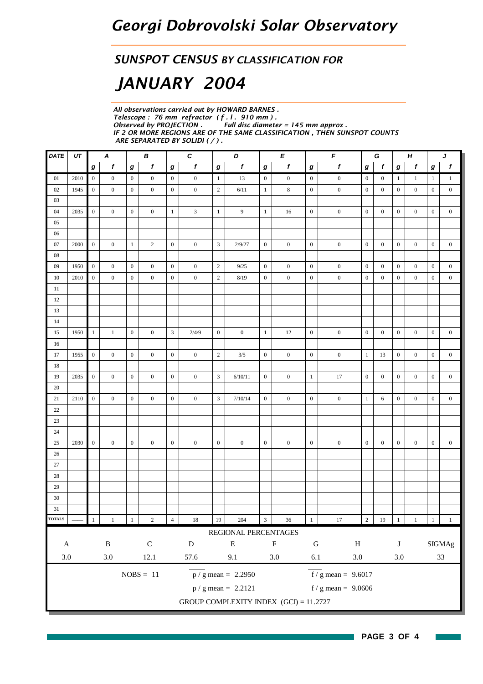#### *SUNSPOT CENSUS BY CLASSIFICATION FOR*

# *JANUARY 2004*

*All observations carried out by HOWARD BARNES . Telescope : 76 mm refractor ( f . l . 910 mm ) .* **Full disc diameter = 145 mm approx.** *IF 2 OR MORE REGIONS ARE OF THE SAME CLASSIFICATION , THEN SUNSPOT COUNTS ARE SEPARATED BY SOLIDI ( / ) .*

| DATE                       | UT   |                  | E<br>$\boldsymbol{A}$<br>В<br>C<br>D |                  |                  |                  |                  | F<br>G<br>Н<br>J |                                          |                         |                  |                                           |                                           |                  |                  |                  |                  |                  |                  |
|----------------------------|------|------------------|--------------------------------------|------------------|------------------|------------------|------------------|------------------|------------------------------------------|-------------------------|------------------|-------------------------------------------|-------------------------------------------|------------------|------------------|------------------|------------------|------------------|------------------|
|                            |      | g                | $\mathbf f$                          | $\bm{g}$         | $\mathbf f$      | g                | $\boldsymbol{f}$ | $\bm{g}$         | $\mathbf f$                              | $\boldsymbol{g}$        | $\boldsymbol{f}$ | $\boldsymbol{f}$<br>$\boldsymbol{g}$<br>g |                                           |                  | $\mathbf f$      | $\boldsymbol{g}$ | $\mathbf{f}$     | $\boldsymbol{g}$ | $\mathbf{f}$     |
| 01                         | 2010 | $\overline{0}$   | $\overline{0}$                       | $\boldsymbol{0}$ | $\overline{0}$   | $\overline{0}$   | $\overline{0}$   | $\mathbf{1}$     | 13                                       | $\mathbf{0}$            | $\boldsymbol{0}$ | $\mathbf{0}$                              | $\mathbf{0}$                              | $\boldsymbol{0}$ | $\overline{0}$   | $\mathbf{1}$     | $\mathbf{1}$     | $\mathbf{1}$     | $\mathbf{1}$     |
| 02                         | 1945 | $\boldsymbol{0}$ | $\overline{0}$                       | $\overline{0}$   | $\mathbf{0}$     | $\overline{0}$   | $\boldsymbol{0}$ | $\overline{2}$   | 6/11                                     | $\mathbf{1}$            | $\,$ 8 $\,$      | $\mathbf{0}$                              | $\boldsymbol{0}$                          | $\boldsymbol{0}$ | $\overline{0}$   | $\boldsymbol{0}$ | $\mathbf{0}$     | $\mathbf{0}$     | $\mathbf{0}$     |
| 03                         |      |                  |                                      |                  |                  |                  |                  |                  |                                          |                         |                  |                                           |                                           |                  |                  |                  |                  |                  |                  |
| 04                         | 2035 | $\overline{0}$   | $\boldsymbol{0}$                     | $\mathbf{0}$     | $\boldsymbol{0}$ | $\mathbf{1}$     | 3                | 1                | 9                                        | $\mathbf{1}$            | 16               | $\boldsymbol{0}$                          | $\boldsymbol{0}$                          | $\boldsymbol{0}$ | $\mathbf{0}$     | $\boldsymbol{0}$ | $\boldsymbol{0}$ | $\boldsymbol{0}$ | $\boldsymbol{0}$ |
| 05                         |      |                  |                                      |                  |                  |                  |                  |                  |                                          |                         |                  |                                           |                                           |                  |                  |                  |                  |                  |                  |
| 06                         |      |                  |                                      |                  |                  |                  |                  |                  |                                          |                         |                  |                                           |                                           |                  |                  |                  |                  |                  |                  |
| 07                         | 2000 | $\overline{0}$   | $\boldsymbol{0}$                     | $\mathbf{1}$     | $\overline{2}$   | $\overline{0}$   | $\boldsymbol{0}$ | $\mathbf{3}$     | 2/9/27                                   | $\mathbf{0}$            | $\boldsymbol{0}$ | $\boldsymbol{0}$                          | $\boldsymbol{0}$                          | $\boldsymbol{0}$ | $\boldsymbol{0}$ | $\boldsymbol{0}$ | $\boldsymbol{0}$ | $\boldsymbol{0}$ | $\boldsymbol{0}$ |
| 08                         |      |                  |                                      |                  |                  |                  |                  |                  |                                          |                         |                  |                                           |                                           |                  |                  |                  |                  |                  |                  |
| 09                         | 1950 | $\mathbf{0}$     | $\overline{0}$                       | $\mathbf{0}$     | $\boldsymbol{0}$ | $\mathbf{0}$     | $\boldsymbol{0}$ | $\overline{2}$   | 9/25                                     | $\mathbf{0}$            | $\boldsymbol{0}$ | $\mathbf{0}$                              | $\boldsymbol{0}$                          | $\mathbf{0}$     | $\overline{0}$   | $\boldsymbol{0}$ | $\mathbf{0}$     | $\mathbf{0}$     | $\boldsymbol{0}$ |
| 10                         | 2010 | $\boldsymbol{0}$ | $\mathbf{0}$                         | $\mathbf{0}$     | $\boldsymbol{0}$ | $\boldsymbol{0}$ | $\boldsymbol{0}$ | $\overline{2}$   | 8/19                                     | $\mathbf{0}$            | $\boldsymbol{0}$ | $\boldsymbol{0}$                          | $\boldsymbol{0}$                          | $\boldsymbol{0}$ | $\boldsymbol{0}$ | $\boldsymbol{0}$ | $\boldsymbol{0}$ | $\boldsymbol{0}$ | $\boldsymbol{0}$ |
| 11                         |      |                  |                                      |                  |                  |                  |                  |                  |                                          |                         |                  |                                           |                                           |                  |                  |                  |                  |                  |                  |
| 12                         |      |                  |                                      |                  |                  |                  |                  |                  |                                          |                         |                  |                                           |                                           |                  |                  |                  |                  |                  |                  |
| 13                         |      |                  |                                      |                  |                  |                  |                  |                  |                                          |                         |                  |                                           |                                           |                  |                  |                  |                  |                  |                  |
| 14                         |      |                  |                                      |                  |                  |                  |                  |                  |                                          |                         |                  |                                           |                                           |                  |                  |                  |                  |                  |                  |
| 15                         | 1950 | $\mathbf{1}$     | $\,1$                                | $\mathbf{0}$     | $\boldsymbol{0}$ | $\mathbf{3}$     | 2/4/9            | $\overline{0}$   | $\boldsymbol{0}$                         | $\mathbf{1}$            | 12               | $\mathbf{0}$                              | $\boldsymbol{0}$                          | $\mathbf{0}$     | $\overline{0}$   | $\boldsymbol{0}$ | $\boldsymbol{0}$ | $\boldsymbol{0}$ | $\boldsymbol{0}$ |
| 16                         |      |                  |                                      |                  |                  |                  |                  |                  |                                          |                         |                  |                                           |                                           |                  |                  |                  |                  |                  |                  |
| 17                         | 1955 | $\overline{0}$   | $\overline{0}$                       | $\mathbf{0}$     | $\mathbf{0}$     | $\overline{0}$   | $\boldsymbol{0}$ | $\overline{2}$   | 3/5                                      | $\mathbf{0}$            | $\mathbf{0}$     | $\mathbf{0}$                              | $\boldsymbol{0}$                          | $\mathbf{1}$     | 13               | $\mathbf{0}$     | $\mathbf{0}$     | $\overline{0}$   | $\boldsymbol{0}$ |
| 18                         |      |                  |                                      |                  |                  |                  |                  |                  |                                          |                         |                  |                                           |                                           |                  |                  |                  |                  |                  |                  |
| 19                         | 2035 | $\overline{0}$   | $\mathbf{0}$                         | $\mathbf{0}$     | $\boldsymbol{0}$ | $\overline{0}$   | $\boldsymbol{0}$ | $\overline{3}$   | 6/10/11                                  | $\mathbf{0}$            | $\boldsymbol{0}$ | 1                                         | 17                                        | $\mathbf{0}$     | $\overline{0}$   | $\mathbf{0}$     | $\boldsymbol{0}$ | $\mathbf{0}$     | $\boldsymbol{0}$ |
| 20                         |      |                  |                                      |                  |                  |                  |                  |                  |                                          |                         |                  |                                           |                                           |                  |                  |                  |                  |                  |                  |
| 21                         | 2110 | $\boldsymbol{0}$ | $\overline{0}$                       | $\mathbf{0}$     | $\overline{0}$   | $\overline{0}$   | $\mathbf{0}$     | $\mathbf{3}$     | $7/10/14$                                | $\mathbf{0}$            | $\mathbf{0}$     | $\boldsymbol{0}$                          | $\boldsymbol{0}$                          | $\mathbf{1}$     | 6                | $\mathbf{0}$     | $\boldsymbol{0}$ | $\boldsymbol{0}$ | $\boldsymbol{0}$ |
| 22                         |      |                  |                                      |                  |                  |                  |                  |                  |                                          |                         |                  |                                           |                                           |                  |                  |                  |                  |                  |                  |
| 23                         |      |                  |                                      |                  |                  |                  |                  |                  |                                          |                         |                  |                                           |                                           |                  |                  |                  |                  |                  |                  |
| 24                         |      |                  |                                      |                  |                  |                  |                  |                  |                                          |                         |                  |                                           |                                           |                  |                  |                  |                  |                  |                  |
| 25                         | 2030 | $\mathbf{0}$     | $\overline{0}$                       | $\mathbf{0}$     | $\overline{0}$   | $\overline{0}$   | $\boldsymbol{0}$ | $\boldsymbol{0}$ | $\boldsymbol{0}$                         | $\mathbf{0}$            | $\boldsymbol{0}$ | $\mathbf{0}$                              | $\mathbf{0}$                              | $\mathbf{0}$     | $\overline{0}$   | $\boldsymbol{0}$ | $\mathbf{0}$     | $\mathbf{0}$     | $\boldsymbol{0}$ |
| 26                         |      |                  |                                      |                  |                  |                  |                  |                  |                                          |                         |                  |                                           |                                           |                  |                  |                  |                  |                  |                  |
| 27                         |      |                  |                                      |                  |                  |                  |                  |                  |                                          |                         |                  |                                           |                                           |                  |                  |                  |                  |                  |                  |
| 28                         |      |                  |                                      |                  |                  |                  |                  |                  |                                          |                         |                  |                                           |                                           |                  |                  |                  |                  |                  |                  |
| 29                         |      |                  |                                      |                  |                  |                  |                  |                  |                                          |                         |                  |                                           |                                           |                  |                  |                  |                  |                  |                  |
| 30                         |      |                  |                                      |                  |                  |                  |                  |                  |                                          |                         |                  |                                           |                                           |                  |                  |                  |                  |                  |                  |
| 31                         |      |                  |                                      |                  |                  |                  |                  |                  |                                          |                         |                  |                                           |                                           |                  |                  |                  |                  |                  |                  |
| $\overline{\text{TOTALS}}$ |      |                  | $\,1$                                |                  | $\sqrt{2}$       | $\overline{4}$   | $18\,$           | $19\,$           | 204                                      | $\overline{\mathbf{3}}$ | 36               | $\mathbf{1}$                              | 17                                        | $\sqrt{2}$       | 19               |                  | $\,1$            | $\,$ $\,$ $\,$   | $\!-1\!$         |
|                            |      |                  |                                      |                  |                  |                  |                  |                  | REGIONAL PERCENTAGES                     |                         |                  |                                           |                                           |                  |                  |                  |                  |                  |                  |
| $\mathsf{A}$               |      |                  | $\, {\bf B}$                         |                  | ${\bf C}$        |                  | ${\bf D}$        |                  | ${\bf E}$                                |                         | ${\bf F}$        | ${\bf G}$                                 | $\, {\rm H}$                              |                  |                  | $\bf J$          |                  |                  | <b>SIGMAg</b>    |
| $3.0\,$                    |      |                  | $3.0\,$                              |                  | $12.1\,$         |                  | 57.6             |                  | 9.1                                      |                         | $3.0\,$          | $6.1\,$                                   | $3.0\,$                                   |                  |                  | $3.0\,$          |                  |                  | $33\,$           |
|                            |      |                  |                                      |                  |                  |                  |                  |                  |                                          |                         |                  |                                           |                                           |                  |                  |                  |                  |                  |                  |
|                            |      |                  |                                      |                  | $NOBS = 11$      |                  |                  |                  | $p / g$ mean = 2.2950                    |                         |                  |                                           | $\overline{f}/\overline{g}$ mean = 9.6017 |                  |                  |                  |                  |                  |                  |
|                            |      |                  |                                      |                  |                  |                  |                  |                  | $\overline{p}$ / g mean = 2.2121         |                         |                  |                                           | $\frac{1}{\pi}$ g mean = 9.0606           |                  |                  |                  |                  |                  |                  |
|                            |      |                  |                                      |                  |                  |                  |                  |                  | GROUP COMPLEXITY INDEX $(GCI) = 11.2727$ |                         |                  |                                           |                                           |                  |                  |                  |                  |                  |                  |
|                            |      |                  |                                      |                  |                  |                  |                  |                  |                                          |                         |                  |                                           |                                           |                  |                  |                  |                  |                  |                  |

 $\sim 10$